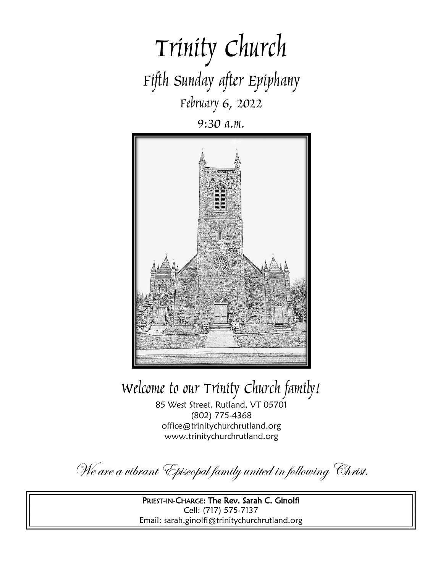

9:30 a.m.



Welcome to our Trinity Church family!

85 West Street, Rutland, VT 05701 (802) 775-4368 office@trinitychurchrutland.org www.trinitychurchrutland.org

We are a vibrant Episcopal family united in following Christ.

PRIEST-IN-CHARGE: The Rev. Sarah C. Ginolfi Cell: (717) 575-7137 Email: sarah.ginolfi@trinitychurchrutland.org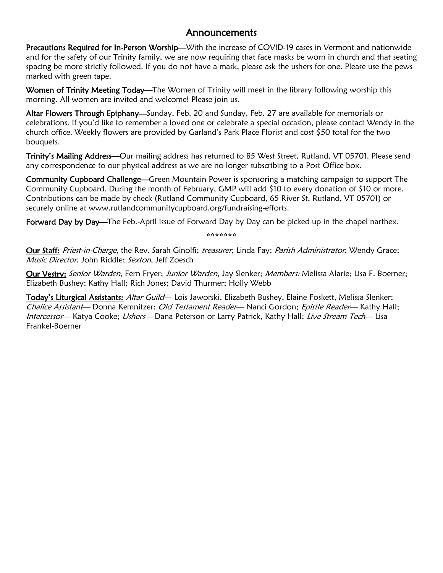### Announcements

Precautions Required for In-Person Worship—With the increase of COVID-19 cases in Vermont and nationwide and for the safety of our Trinity family, we are now requiring that face masks be worn in church and that seating spacing be more strictly followed. If you do not have a mask, please ask the ushers for one. Please use the pews marked with green tape.

Women of Trinity Meeting Today—The Women of Trinity will meet in the library following worship this morning. All women are invited and welcome! Please join us.

Altar Flowers Through Epiphany-Sunday, Feb. 20 and Sunday, Feb. 27 are available for memorials or celebrations. If you'd like to remember a loved one or celebrate a special occasion, please contact Wendy in the church office. Weekly flowers are provided by Garland's Park Place Florist and cost \$50 total for the two bouquets.

Trinity's Mailing Address—Our mailing address has returned to 85 West Street, Rutland, VT 05701. Please send any correspondence to our physical address as we are no longer subscribing to a Post Office box.

Community Cupboard Challenge—Green Mountain Power is sponsoring a matching campaign to support The Community Cupboard. During the month of February, GMP will add \$10 to every donation of \$10 or more. Contributions can be made by check (Rutland Community Cupboard, 65 River St, Rutland, VT 05701) or securely online at www.rutlandcommunitycupboard.org/fundraising-efforts.

Forward Day by Day—The Feb.-April issue of Forward Day by Day can be picked up in the chapel narthex.

\*\*\*\*\*\*\*

Our Staff: Priest-in-Charge, the Rev. Sarah Ginolfi; treasurer, Linda Fay; Parish Administrator, Wendy Grace; Music Director, John Riddle; Sexton. Jeff Zoesch

Our Vestry: Senior Warden, Fern Fryer; Junior Warden, Jay Slenker; Members: Melissa Alarie; Lisa F. Boerner; Elizabeth Bushey; Kathy Hall; Rich Jones; David Thurmer; Holly Webb

Today's Liturgical Assistants: Altar Guild— Lois Jaworski, Elizabeth Bushey, Elaine Foskett, Melissa Slenker; Chalice Assistant— Donna Kemnitzer; Old Testament Reader— Nanci Gordon; Epistle Reader— Kathy Hall; Intercessor— Katya Cooke; Ushers— Dana Peterson or Larry Patrick, Kathy Hall; Live Stream Tech— Lisa Frankel-Boerner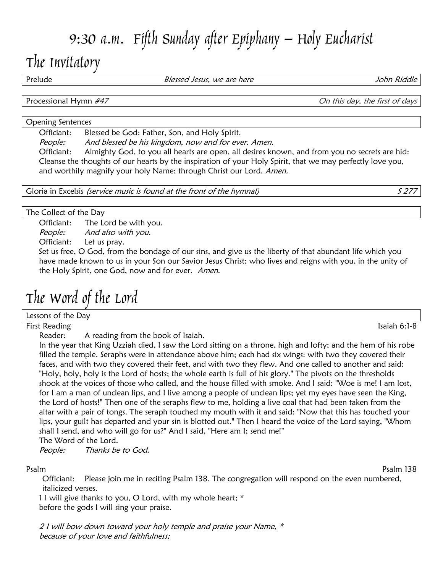# 9:30 a.m. Fifth Sunday after Epiphany – Holy Eucharist

## The Invitatory

Prelude **Blessed Jesus, we are here** and the *John Riddle* John Riddle

Processional Hymn #47 **Processional Hymn #47** On this day, the first of days

#### Opening Sentences

Officiant: Blessed be God: Father, Son, and Holy Spirit.

People: And blessed be his kingdom, now and for ever. Amen.

Officiant: Almighty God, to you all hearts are open, all desires known, and from you no secrets are hid: Cleanse the thoughts of our hearts by the inspiration of your Holy Spirit, that we may perfectly love you, and worthily magnify your holy Name; through Christ our Lord. Amen.

Gloria in Excelsis *(service music is found at the front of the hymnal)* S 277

The Collect of the Day

Officiant: The Lord be with you. People: And also with you. Officiant: Let us pray.

Set us free, O God, from the bondage of our sins, and give us the liberty of that abundant life which you have made known to us in your Son our Savior Jesus Christ; who lives and reigns with you, in the unity of the Holy Spirit, one God, now and for ever. Amen.

# The Word of the Lord

Lessons of the Day

First Reading Isaiah 6:1-8

Reader: A reading from the book of Isaiah.

In the year that King Uzziah died, I saw the Lord sitting on a throne, high and lofty; and the hem of his robe filled the temple. Seraphs were in attendance above him; each had six wings: with two they covered their faces, and with two they covered their feet, and with two they flew. And one called to another and said: "Holy, holy, holy is the Lord of hosts; the whole earth is full of his glory." The pivots on the thresholds shook at the voices of those who called, and the house filled with smoke. And I said: "Woe is me! I am lost, for I am a man of unclean lips, and I live among a people of unclean lips; yet my eyes have seen the King, the Lord of hosts!" Then one of the seraphs flew to me, holding a live coal that had been taken from the altar with a pair of tongs. The seraph touched my mouth with it and said: "Now that this has touched your lips, your guilt has departed and your sin is blotted out." Then I heard the voice of the Lord saying, "Whom shall I send, and who will go for us?" And I said, "Here am I; send me!" The Word of the Lord.

People: Thanks be to God.

Psalm Psalm 138

Officiant: Please join me in reciting Psalm 138. The congregation will respond on the even numbered, italicized verses.

1 I will give thanks to you, O Lord, with my whole heart; \* before the gods I will sing your praise.

2 I will bow down toward your holy temple and praise your Name, \* because of your love and faithfulness;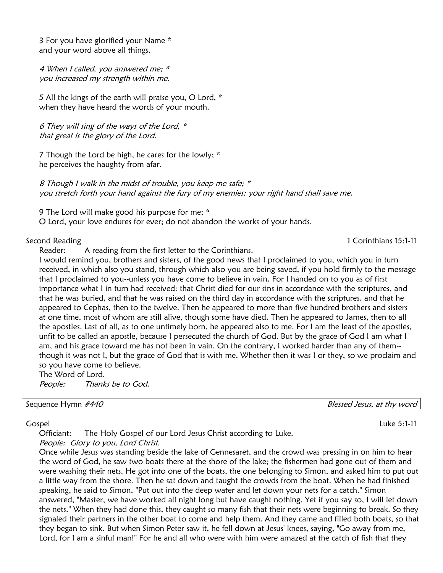3 For you have glorified your Name \* and your word above all things.

4 When I called, you answered me; \* you increased my strength within me.

5 All the kings of the earth will praise you, O Lord, \* when they have heard the words of your mouth.

6 They will sing of the ways of the Lord, \* that great is the glory of the Lord.

7 Though the Lord be high, he cares for the lowly; \* he perceives the haughty from afar.

8 Though I walk in the midst of trouble, you keep me safe; \* you stretch forth your hand against the fury of my enemies; your right hand shall save me.

9 The Lord will make good his purpose for me; \*

O Lord, your love endures for ever; do not abandon the works of your hands.

#### Second Reading 15:1-11 Corinthians 15:1-11

Reader: A reading from the first letter to the Corinthians.

I would remind you, brothers and sisters, of the good news that I proclaimed to you, which you in turn received, in which also you stand, through which also you are being saved, if you hold firmly to the message that I proclaimed to you--unless you have come to believe in vain. For I handed on to you as of first importance what I in turn had received: that Christ died for our sins in accordance with the scriptures, and that he was buried, and that he was raised on the third day in accordance with the scriptures, and that he appeared to Cephas, then to the twelve. Then he appeared to more than five hundred brothers and sisters at one time, most of whom are still alive, though some have died. Then he appeared to James, then to all the apostles. Last of all, as to one untimely born, he appeared also to me. For I am the least of the apostles, unfit to be called an apostle, because I persecuted the church of God. But by the grace of God I am what I am, and his grace toward me has not been in vain. On the contrary, I worked harder than any of them- though it was not I, but the grace of God that is with me. Whether then it was I or they, so we proclaim and so you have come to believe.

The Word of Lord. People: Thanks be to God.

Sequence Hymn #440 **Blessed Jesus, at thy word** 

#### Gospel Luke 5:1-11

Officiant: The Holy Gospel of our Lord Jesus Christ according to Luke.

People: Glory to you, Lord Christ.

Once while Jesus was standing beside the lake of Gennesaret, and the crowd was pressing in on him to hear the word of God, he saw two boats there at the shore of the lake; the fishermen had gone out of them and were washing their nets. He got into one of the boats, the one belonging to Simon, and asked him to put out a little way from the shore. Then he sat down and taught the crowds from the boat. When he had finished speaking, he said to Simon, "Put out into the deep water and let down your nets for a catch." Simon answered, "Master, we have worked all night long but have caught nothing. Yet if you say so, I will let down the nets." When they had done this, they caught so many fish that their nets were beginning to break. So they signaled their partners in the other boat to come and help them. And they came and filled both boats, so that they began to sink. But when Simon Peter saw it, he fell down at Jesus' knees, saying, "Go away from me, Lord, for I am a sinful man!" For he and all who were with him were amazed at the catch of fish that they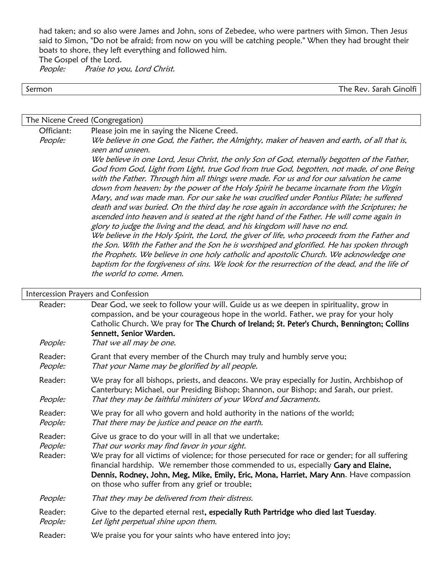had taken; and so also were James and John, sons of Zebedee, who were partners with Simon. Then Jesus said to Simon, "Do not be afraid; from now on you will be catching people." When they had brought their boats to shore, they left everything and followed him.

The Gospel of the Lord.

People: Praise to you, Lord Christ.

Sermon The Rev. Sarah Ginolfi

The Nicene Creed (Congregation)

Officiant: Please join me in saying the Nicene Creed. People: We believe in one God, the Father, the Almighty, maker of heaven and earth, of all that is, seen and unseen. We believe in one Lord, Jesus Christ, the only Son of God, eternally begotten of the Father, God from God, Light from Light, true God from true God, begotten, not made, of one Being with the Father. Through him all things were made. For us and for our salvation he came down from heaven: by the power of the Holy Spirit he became incarnate from the Virgin Mary, and was made man. For our sake he was crucified under Pontius Pilate; he suffered death and was buried. On the third day he rose again in accordance with the Scriptures; he ascended into heaven and is seated at the right hand of the Father. He will come again in glory to judge the living and the dead, and his kingdom will have no end. We believe in the Holy Spirit, the Lord, the giver of life, who proceeds from the Father and the Son. With the Father and the Son he is worshiped and glorified. He has spoken through the Prophets. We believe in one holy catholic and apostolic Church. We acknowledge one baptism for the forgiveness of sins. We look for the resurrection of the dead, and the life of the world to come. Amen.

#### Intercession Prayers and Confession

| Reader:                       | Dear God, we seek to follow your will. Guide us as we deepen in spirituality, grow in<br>compassion, and be your courageous hope in the world. Father, we pray for your holy<br>Catholic Church. We pray for The Church of Ireland; St. Peter's Church, Bennington; Collins<br>Sennett, Senior Warden.                                                                                                                                       |
|-------------------------------|----------------------------------------------------------------------------------------------------------------------------------------------------------------------------------------------------------------------------------------------------------------------------------------------------------------------------------------------------------------------------------------------------------------------------------------------|
| People:                       | That we all may be one.                                                                                                                                                                                                                                                                                                                                                                                                                      |
| Reader:<br>People:            | Grant that every member of the Church may truly and humbly serve you;<br>That your Name may be glorified by all people.                                                                                                                                                                                                                                                                                                                      |
| Reader:<br>People:            | We pray for all bishops, priests, and deacons. We pray especially for Justin, Archbishop of<br>Canterbury; Michael, our Presiding Bishop; Shannon, our Bishop; and Sarah, our priest.<br>That they may be faithful ministers of your Word and Sacraments.                                                                                                                                                                                    |
| Reader:<br>People:            | We pray for all who govern and hold authority in the nations of the world;<br>That there may be justice and peace on the earth.                                                                                                                                                                                                                                                                                                              |
| Reader:<br>People:<br>Reader: | Give us grace to do your will in all that we undertake;<br>That our works may find favor in your sight.<br>We pray for all victims of violence; for those persecuted for race or gender; for all suffering<br>financial hardship. We remember those commended to us, especially Gary and Elaine,<br>Dennis, Rodney, John, Meg, Mike, Emily, Eric, Mona, Harriet, Mary Ann. Have compassion<br>on those who suffer from any grief or trouble; |
| People:                       | That they may be delivered from their distress.                                                                                                                                                                                                                                                                                                                                                                                              |
| Reader:<br>People:            | Give to the departed eternal rest, especially Ruth Partridge who died last Tuesday.<br>Let light perpetual shine upon them.                                                                                                                                                                                                                                                                                                                  |
| Reader:                       | We praise you for your saints who have entered into joy;                                                                                                                                                                                                                                                                                                                                                                                     |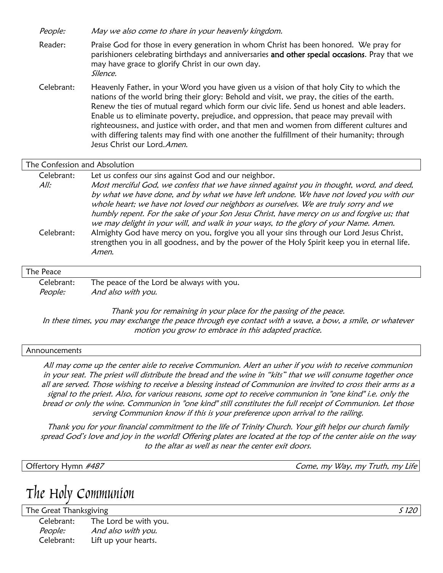People: May we also come to share in your heavenly kingdom.

Reader: Praise God for those in every generation in whom Christ has been honored. We pray for parishioners celebrating birthdays and anniversaries and other special occasions. Pray that we may have grace to glorify Christ in our own day. Silence.

Celebrant: Heavenly Father, in your Word you have given us a vision of that holy City to which the nations of the world bring their glory: Behold and visit, we pray, the cities of the earth. Renew the ties of mutual regard which form our civic life. Send us honest and able leaders. Enable us to eliminate poverty, prejudice, and oppression, that peace may prevail with righteousness, and justice with order, and that men and women from different cultures and with differing talents may find with one another the fulfillment of their humanity; through Jesus Christ our Lord. Amen.

#### The Confession and Absolution

| Celebrant:     | Let us confess our sins against God and our neighbor.                                         |
|----------------|-----------------------------------------------------------------------------------------------|
| All:           | Most merciful God, we confess that we have sinned against you in thought, word, and deed,     |
|                | by what we have done, and by what we have left undone. We have not loved you with our         |
|                | whole heart; we have not loved our neighbors as ourselves. We are truly sorry and we          |
|                | humbly repent. For the sake of your Son Jesus Christ, have mercy on us and forgive us; that   |
|                | we may delight in your will, and walk in your ways, to the glory of your Name. Amen.          |
| Celebrant:     | Almighty God have mercy on you, forgive you all your sins through our Lord Jesus Christ,      |
|                | strengthen you in all goodness, and by the power of the Holy Spirit keep you in eternal life. |
|                | Amen.                                                                                         |
|                |                                                                                               |
| TL - N - - - - |                                                                                               |

#### The Peace

| Celebrant:     | The peace of the Lord be always with you. |
|----------------|-------------------------------------------|
| <i>People:</i> | And also with you.                        |

Thank you for remaining in your place for the passing of the peace. In these times, you may exchange the peace through eye contact with a wave, a bow, a smile, or whatever motion you grow to embrace in this adapted practice.

#### **Announcements**

All may come up the center aisle to receive Communion. Alert an usher if you wish to receive communion in your seat. The priest will distribute the bread and the wine in "kits" that we will consume together once all are served. Those wishing to receive a blessing instead of Communion are invited to cross their arms as a signal to the priest. Also, for various reasons, some opt to receive communion in "one kind" i.e. only the bread or only the wine. Communion in "one kind" still constitutes the full receipt of Communion. Let those serving Communion know if this is your preference upon arrival to the railing.

Thank you for your financial commitment to the life of Trinity Church. Your gift helps our church family spread God's love and joy in the world! Offering plates are located at the top of the center aisle on the way to the altar as well as near the center exit doors.

Offertory Hymn #487 Come, my Way, my Truth, my Life

### The Holy Communion

The Great Thanksgiving Services of the State of the State of the State of the State of the State of the State of the State of the State of the State of the State of the State of the State of the State of the State of the S Celebrant: The Lord be with you. People: And also with you. Celebrant: Lift up your hearts.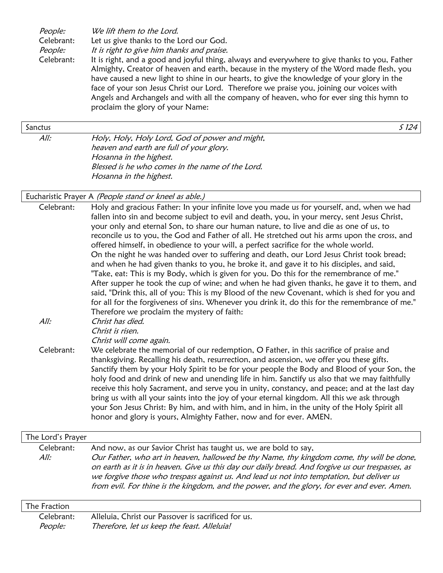| People:    | We lift them to the Lord.                                                                     |
|------------|-----------------------------------------------------------------------------------------------|
| Celebrant: | Let us give thanks to the Lord our God.                                                       |
| People:    | It is right to give him thanks and praise.                                                    |
| Celebrant: | It is right, and a good and joyful thing, always and everywhere to give thanks to you, Father |
|            | Almighty, Creator of heaven and earth, because in the mystery of the Word made flesh, you     |
|            | have caused a new light to shine in our hearts, to give the knowledge of your glory in the    |
|            | face of your son Jesus Christ our Lord. Therefore we praise you, joining our voices with      |
|            | Angels and Archangels and with all the company of heaven, who for ever sing this hymn to      |
|            | proclaim the glory of your Name:                                                              |
|            |                                                                                               |

#### Sanctus  $\sim$  Since  $\sim$  Since  $\sim$  Since  $\sim$  Since  $\sim$  Since  $\sim$  Since  $\sim$  Since  $\sim$  Since  $\sim$  Since  $\sim$  Since  $\sim$  Since  $\sim$  Since  $\sim$  Since  $\sim$  Since  $\sim$  Since  $\sim$  Since  $\sim$  Since  $\sim$  Since  $\sim$  Since  $\sim$

All: Holy, Holy, Holy Lord, God of power and might, heaven and earth are full of your glory. Hosanna in the highest. Blessed is he who comes in the name of the Lord. Hosanna in the highest.

#### Eucharistic Prayer A (People stand or kneel as able.)

Celebrant: Holy and gracious Father: In your infinite love you made us for yourself, and, when we had fallen into sin and become subject to evil and death, you, in your mercy, sent Jesus Christ, your only and eternal Son, to share our human nature, to live and die as one of us, to reconcile us to you, the God and Father of all. He stretched out his arms upon the cross, and offered himself, in obedience to your will, a perfect sacrifice for the whole world. On the night he was handed over to suffering and death, our Lord Jesus Christ took bread; and when he had given thanks to you, he broke it, and gave it to his disciples, and said, "Take, eat: This is my Body, which is given for you. Do this for the remembrance of me." After supper he took the cup of wine; and when he had given thanks, he gave it to them, and said, "Drink this, all of you: This is my Blood of the new Covenant, which is shed for you and for all for the forgiveness of sins. Whenever you drink it, do this for the remembrance of me." Therefore we proclaim the mystery of faith: All: Christ has died. Christ is risen. Christ will come again. Celebrant: We celebrate the memorial of our redemption, O Father, in this sacrifice of praise and thanksgiving. Recalling his death, resurrection, and ascension, we offer you these gifts. Sanctify them by your Holy Spirit to be for your people the Body and Blood of your Son, the holy food and drink of new and unending life in him. Sanctify us also that we may faithfully

> receive this holy Sacrament, and serve you in unity, constancy, and peace; and at the last day bring us with all your saints into the joy of your eternal kingdom. All this we ask through your Son Jesus Christ: By him, and with him, and in him, in the unity of the Holy Spirit all honor and glory is yours, Almighty Father, now and for ever. AMEN.

The Lord's Prayer Celebrant: And now, as our Savior Christ has taught us, we are bold to say, All: Our Father, who art in heaven, hallowed be thy Name, thy kingdom come, thy will be done, on earth as it is in heaven. Give us this day our daily bread. And forgive us our trespasses, as we forgive those who trespass against us. And lead us not into temptation, but deliver us from evil. For thine is the kingdom, and the power, and the glory, for ever and ever. Amen.

#### The Fraction

| Celebrant: | Alleluia, Christ our Passover is sacrificed for us. |
|------------|-----------------------------------------------------|
| People:    | Therefore, let us keep the feast. Alleluia!         |